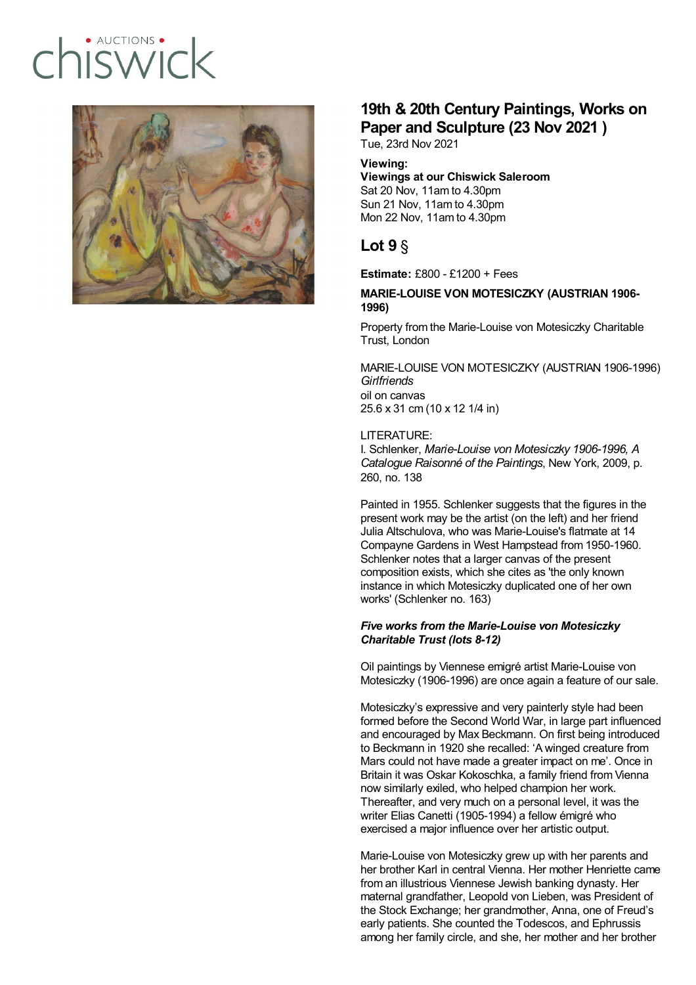# $ALICTIONS$  $I(X)/2I($



## **19th & 20th Century Paintings, Works on Paper and Sculpture (23 Nov 2021 )**

Tue, 23rd Nov 2021

#### **Viewing:**

**Viewings at our Chiswick Saleroom** Sat 20 Nov, 11am to 4.30pm Sun 21 Nov, 11am to 4.30pm Mon 22 Nov, 11am to 4.30pm

### **Lot 9** §

**Estimate:** £800 - £1200 + Fees

#### **MARIE-LOUISE VON MOTESICZKY (AUSTRIAN 1906- 1996)**

Property from the Marie-Louise von Motesiczky Charitable Trust, London

MARIE-LOUISE VON MOTESICZKY (AUSTRIAN 1906-1996) *Girlfriends* oil on canvas 25.6 x 31 cm (10 x 12 1/4 in)

#### LITERATURE:

I. Schlenker, *Marie-Louise von Motesiczky 1906-1996, A Catalogue Raisonné of the Paintings*, New York, 2009, p. 260, no. 138

Painted in 1955. Schlenker suggests that the figures in the present work may be the artist (on the left) and her friend Julia Altschulova, who was Marie-Louise's flatmate at 14 Compayne Gardens in West Hampstead from 1950-1960. Schlenker notes that a larger canvas of the present composition exists, which she cites as 'the only known instance in which Motesiczky duplicated one of her own works' (Schlenker no. 163)

#### *Five works from the Marie-Louise von Motesiczky Charitable Trust (lots 8-12)*

Oil paintings by Viennese emigré artist Marie-Louise von Motesiczky (1906-1996) are once again a feature of our sale.

Motesiczky's expressive and very painterly style had been formed before the Second World War, in large part influenced and encouraged by Max Beckmann. On first being introduced to Beckmann in 1920 she recalled: 'A winged creature from Mars could not have made a greater impact on me'. Once in Britain it was Oskar Kokoschka, a family friend from Vienna now similarly exiled, who helped champion her work. Thereafter, and very much on a personal level, it was the writer Elias Canetti (1905-1994) a fellow émigré who exercised a major influence over her artistic output.

Marie-Louise von Motesiczky grew up with her parents and her brother Karl in central Vienna. Her mother Henriette came from an illustrious Viennese Jewish banking dynasty. Her maternal grandfather, Leopold von Lieben, was President of the Stock Exchange; her grandmother, Anna, one of Freud's early patients. She counted the Todescos, and Ephrussis among her family circle, and she, her mother and her brother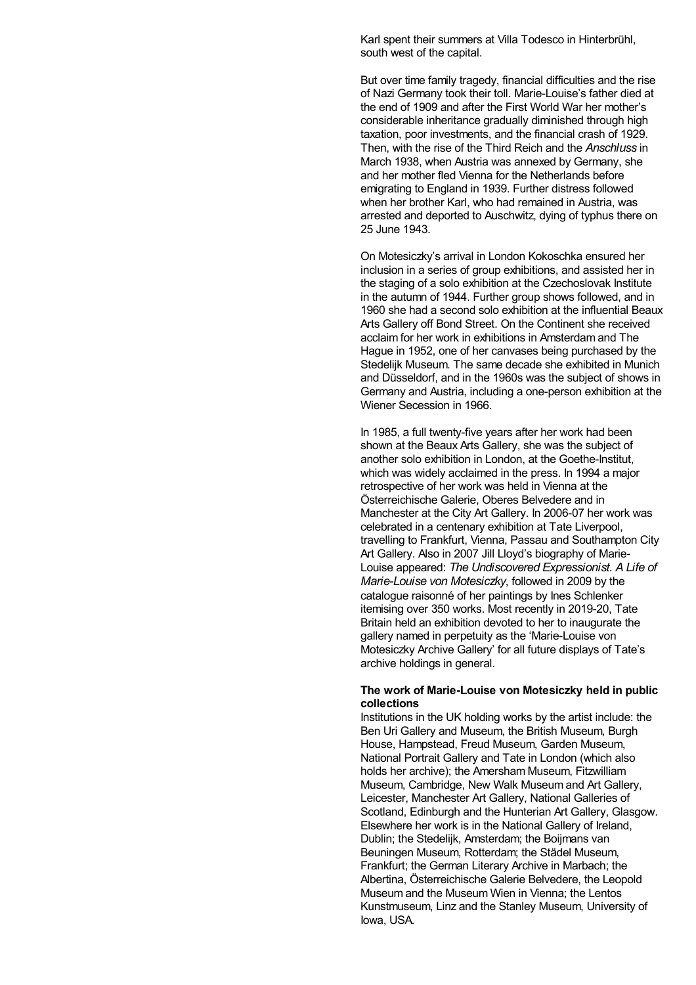Karl spent their summers at Villa Todesco in Hinterbrühl, south west of the capital.

But over time family tragedy, financial difficulties and the rise of Nazi Germany took their toll. Marie-Louise's father died at the end of 1909 and after the First World War her mother's considerable inheritance gradually diminished through high taxation, poor investments, and the financial crash of 1929. Then, with the rise of the Third Reich and the *Anschluss* in March 1938, when Austria was annexed by Germany, she and her mother fled Vienna for the Netherlands before emigrating to England in 1939. Further distress followed when her brother Karl, who had remained in Austria, was arrested and deported to Auschwitz, dying of typhus there on 25 June 1943.

On Motesiczky's arrival in London Kokoschka ensured her inclusion in a series of group exhibitions, and assisted her in the staging of a solo exhibition at the Czechoslovak Institute in the autumn of 1944. Further group shows followed, and in 1960 she had a second solo exhibition at the influential Beaux Arts Gallery off Bond Street. On the Continent she received acclaim for her work in exhibitions in Amsterdam and The Hague in 1952, one of her canvases being purchased by the Stedelijk Museum. The same decade she exhibited in Munich and Düsseldorf, and in the 1960s was the subject of shows in Germany and Austria, including a one-person exhibition at the Wiener Secession in 1966.

In 1985, a full twenty-five years after her work had been shown at the Beaux Arts Gallery, she was the subject of another solo exhibition in London, at the Goethe-Institut, which was widely acclaimed in the press. In 1994 a major retrospective of her work was held in Vienna at the Österreichische Galerie, Oberes Belvedere and in Manchester at the City Art Gallery. In 2006-07 her work was celebrated in a centenary exhibition at Tate Liverpool, travelling to Frankfurt, Vienna, Passau and Southampton City Art Gallery. Also in 2007 Jill Lloyd's biography of Marie-Louise appeared: *The Undiscovered Expressionist. A Life of Marie-Louise von Motesiczky*, followed in 2009 by the catalogue raisonné of her paintings by Ines Schlenker itemising over 350 works. Most recently in 2019-20, Tate Britain held an exhibition devoted to her to inaugurate the gallery named in perpetuity as the 'Marie-Louise von Motesiczky Archive Gallery' for all future displays of Tate's archive holdings in general.

#### **The work of Marie-Louise von Motesiczky held in public collections**

Institutions in the UK holding works by the artist include: the Ben Uri Gallery and Museum, the British Museum, Burgh House, Hampstead, Freud Museum, Garden Museum, National Portrait Gallery and Tate in London (which also holds her archive); the Amersham Museum, Fitzwilliam Museum, Cambridge, New Walk Museum and Art Gallery, Leicester, Manchester Art Gallery, National Galleries of Scotland, Edinburgh and the Hunterian Art Gallery, Glasgow. Elsewhere her work is in the National Gallery of Ireland, Dublin; the Stedelijk, Amsterdam; the Boijmans van Beuningen Museum, Rotterdam; the Städel Museum, Frankfurt; the German Literary Archive in Marbach; the Albertina, Österreichische Galerie Belvedere, the Leopold Museum and the Museum Wien in Vienna; the Lentos Kunstmuseum, Linz and the Stanley Museum, University of Iowa, USA.